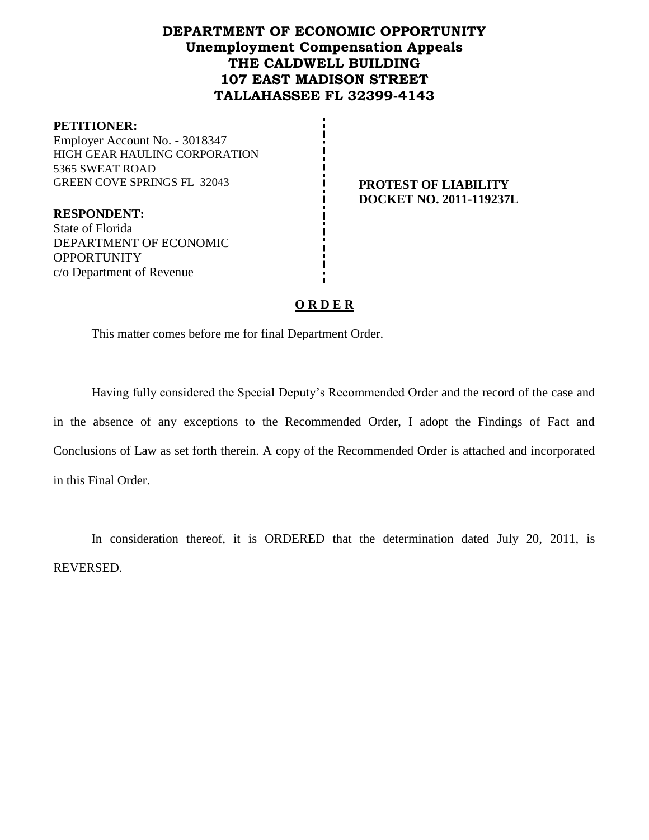# **DEPARTMENT OF ECONOMIC OPPORTUNITY Unemployment Compensation Appeals THE CALDWELL BUILDING 107 EAST MADISON STREET TALLAHASSEE FL 32399-4143**

#### **PETITIONER:**

Employer Account No. - 3018347 HIGH GEAR HAULING CORPORATION 5365 SWEAT ROAD GREEN COVE SPRINGS FL 32043 **PROTEST OF LIABILITY** 

**RESPONDENT:** State of Florida DEPARTMENT OF ECONOMIC **OPPORTUNITY** c/o Department of Revenue

# **DOCKET NO. 2011-119237L**

# **O R D E R**

This matter comes before me for final Department Order.

Having fully considered the Special Deputy's Recommended Order and the record of the case and in the absence of any exceptions to the Recommended Order, I adopt the Findings of Fact and Conclusions of Law as set forth therein. A copy of the Recommended Order is attached and incorporated in this Final Order.

In consideration thereof, it is ORDERED that the determination dated July 20, 2011, is REVERSED.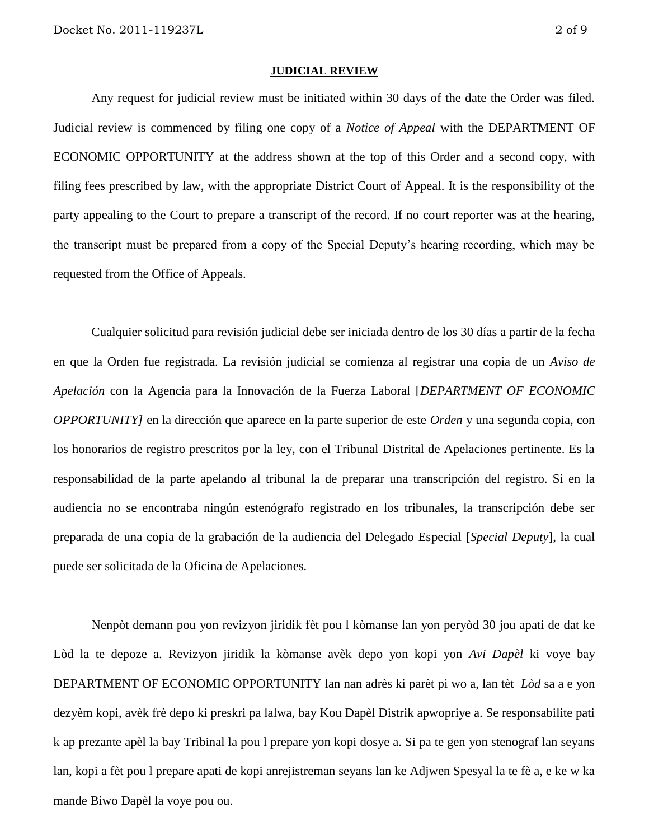#### **JUDICIAL REVIEW**

Any request for judicial review must be initiated within 30 days of the date the Order was filed. Judicial review is commenced by filing one copy of a *Notice of Appeal* with the DEPARTMENT OF ECONOMIC OPPORTUNITY at the address shown at the top of this Order and a second copy, with filing fees prescribed by law, with the appropriate District Court of Appeal. It is the responsibility of the party appealing to the Court to prepare a transcript of the record. If no court reporter was at the hearing, the transcript must be prepared from a copy of the Special Deputy's hearing recording, which may be requested from the Office of Appeals.

Cualquier solicitud para revisión judicial debe ser iniciada dentro de los 30 días a partir de la fecha en que la Orden fue registrada. La revisión judicial se comienza al registrar una copia de un *Aviso de Apelación* con la Agencia para la Innovación de la Fuerza Laboral [*DEPARTMENT OF ECONOMIC OPPORTUNITY]* en la dirección que aparece en la parte superior de este *Orden* y una segunda copia, con los honorarios de registro prescritos por la ley, con el Tribunal Distrital de Apelaciones pertinente. Es la responsabilidad de la parte apelando al tribunal la de preparar una transcripción del registro. Si en la audiencia no se encontraba ningún estenógrafo registrado en los tribunales, la transcripción debe ser preparada de una copia de la grabación de la audiencia del Delegado Especial [*Special Deputy*], la cual puede ser solicitada de la Oficina de Apelaciones.

Nenpòt demann pou yon revizyon jiridik fèt pou l kòmanse lan yon peryòd 30 jou apati de dat ke Lòd la te depoze a. Revizyon jiridik la kòmanse avèk depo yon kopi yon *Avi Dapèl* ki voye bay DEPARTMENT OF ECONOMIC OPPORTUNITY lan nan adrès ki parèt pi wo a, lan tèt *Lòd* sa a e yon dezyèm kopi, avèk frè depo ki preskri pa lalwa, bay Kou Dapèl Distrik apwopriye a. Se responsabilite pati k ap prezante apèl la bay Tribinal la pou l prepare yon kopi dosye a. Si pa te gen yon stenograf lan seyans lan, kopi a fèt pou l prepare apati de kopi anrejistreman seyans lan ke Adjwen Spesyal la te fè a, e ke w ka mande Biwo Dapèl la voye pou ou.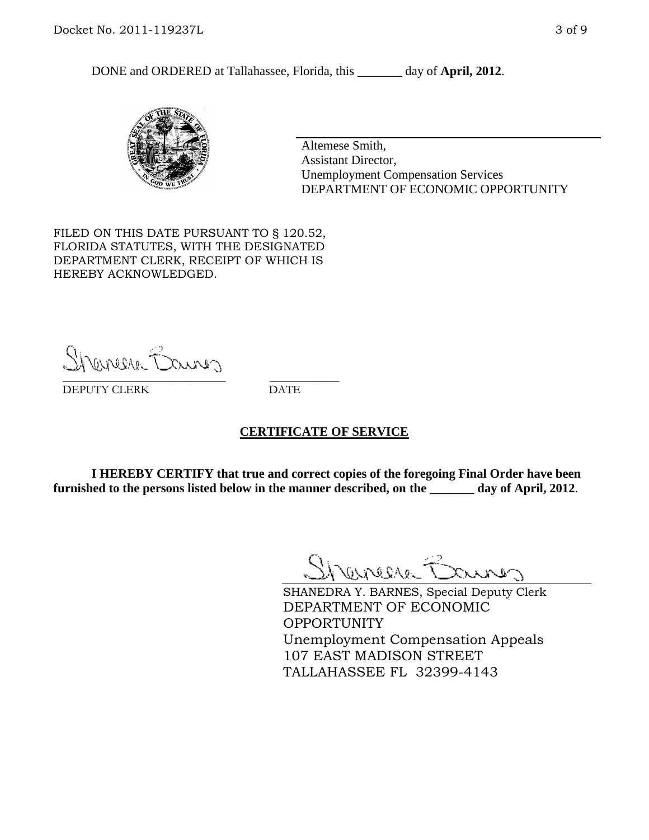DONE and ORDERED at Tallahassee, Florida, this day of **April, 2012**.



Altemese Smith, Assistant Director, Unemployment Compensation Services DEPARTMENT OF ECONOMIC OPPORTUNITY

FILED ON THIS DATE PURSUANT TO § 120.52, FLORIDA STATUTES, WITH THE DESIGNATED DEPARTMENT CLERK, RECEIPT OF WHICH IS HEREBY ACKNOWLEDGED.

Shereere Bairon \_\_\_\_\_\_\_\_\_\_\_\_\_\_\_\_\_\_\_\_\_\_\_\_\_\_\_\_ \_\_\_\_\_\_\_\_\_\_\_\_

DEPUTY CLERK DATE

#### **CERTIFICATE OF SERVICE**

**I HEREBY CERTIFY that true and correct copies of the foregoing Final Order have been furnished to the persons listed below in the manner described, on the \_\_\_\_\_\_\_ day of April, 2012**.

Shaner Barnes

SHANEDRA Y. BARNES, Special Deputy Clerk DEPARTMENT OF ECONOMIC OPPORTUNITY Unemployment Compensation Appeals 107 EAST MADISON STREET TALLAHASSEE FL 32399-4143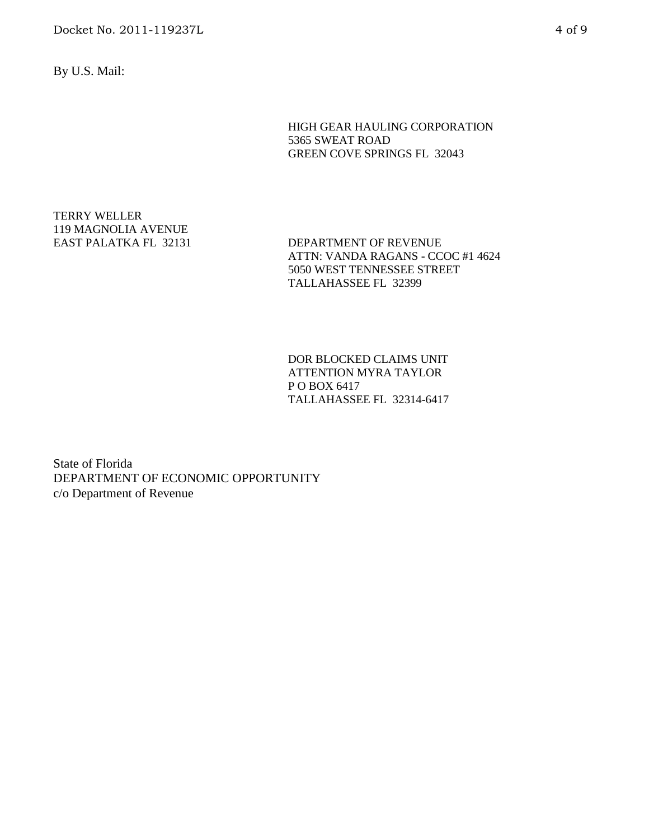Docket No. 2011-119237L 4 of 9

By U.S. Mail:

HIGH GEAR HAULING CORPORATION 5365 SWEAT ROAD GREEN COVE SPRINGS FL 32043

TERRY WELLER 119 MAGNOLIA AVENUE

EAST PALATKA FL 32131 DEPARTMENT OF REVENUE ATTN: VANDA RAGANS - CCOC #1 4624 5050 WEST TENNESSEE STREET TALLAHASSEE FL 32399

> DOR BLOCKED CLAIMS UNIT ATTENTION MYRA TAYLOR P O BOX 6417 TALLAHASSEE FL 32314-6417

State of Florida DEPARTMENT OF ECONOMIC OPPORTUNITY c/o Department of Revenue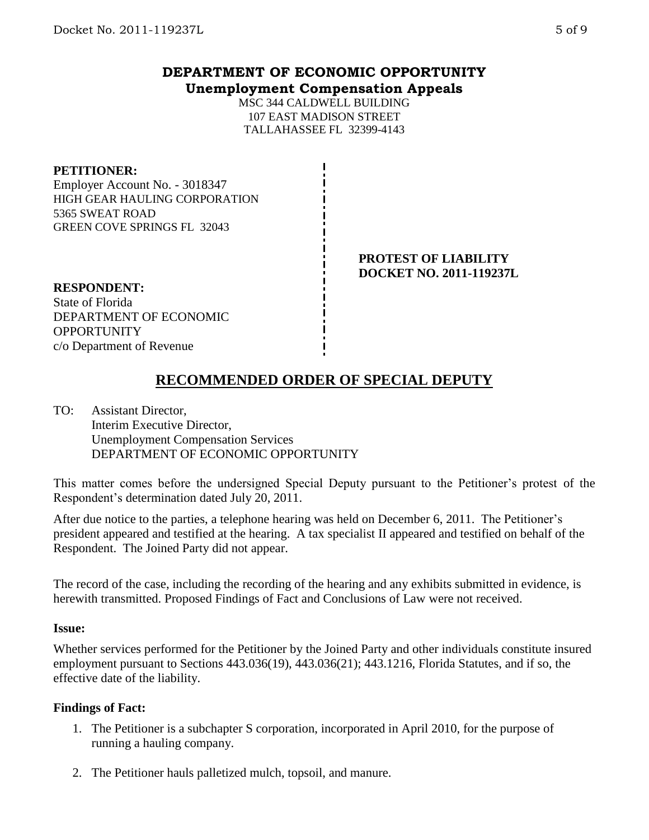# **DEPARTMENT OF ECONOMIC OPPORTUNITY Unemployment Compensation Appeals**

MSC 344 CALDWELL BUILDING 107 EAST MADISON STREET TALLAHASSEE FL 32399-4143

#### **PETITIONER:**

Employer Account No. - 3018347 HIGH GEAR HAULING CORPORATION 5365 SWEAT ROAD GREEN COVE SPRINGS FL 32043

#### **PROTEST OF LIABILITY DOCKET NO. 2011-119237L**

**RESPONDENT:** State of Florida DEPARTMENT OF ECONOMIC **OPPORTUNITY** c/o Department of Revenue

# **RECOMMENDED ORDER OF SPECIAL DEPUTY**

TO: Assistant Director, Interim Executive Director, Unemployment Compensation Services DEPARTMENT OF ECONOMIC OPPORTUNITY

This matter comes before the undersigned Special Deputy pursuant to the Petitioner's protest of the Respondent's determination dated July 20, 2011.

After due notice to the parties, a telephone hearing was held on December 6, 2011. The Petitioner's president appeared and testified at the hearing. A tax specialist II appeared and testified on behalf of the Respondent. The Joined Party did not appear.

The record of the case, including the recording of the hearing and any exhibits submitted in evidence, is herewith transmitted. Proposed Findings of Fact and Conclusions of Law were not received.

#### **Issue:**

Whether services performed for the Petitioner by the Joined Party and other individuals constitute insured employment pursuant to Sections 443.036(19), 443.036(21); 443.1216, Florida Statutes, and if so, the effective date of the liability.

### **Findings of Fact:**

- 1. The Petitioner is a subchapter S corporation, incorporated in April 2010, for the purpose of running a hauling company.
- 2. The Petitioner hauls palletized mulch, topsoil, and manure.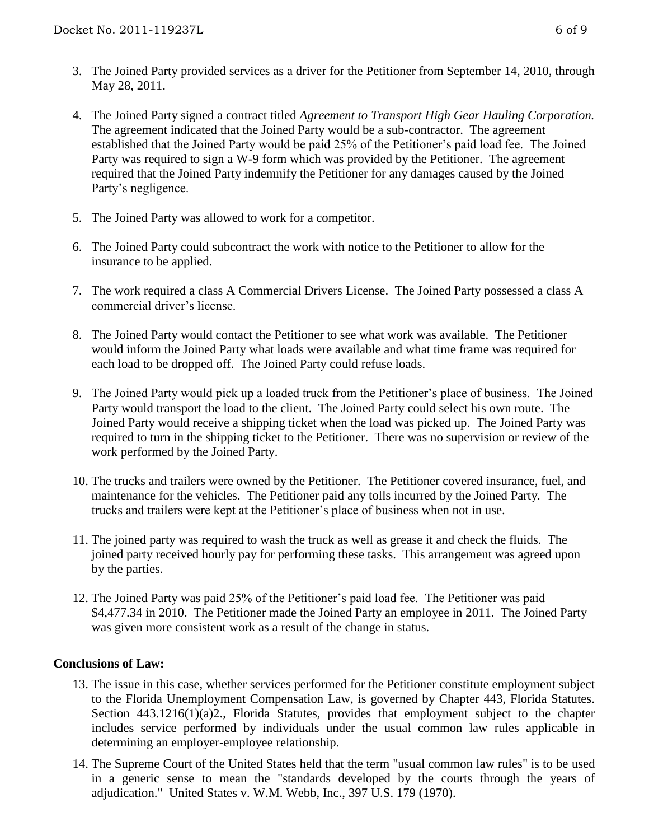- 3. The Joined Party provided services as a driver for the Petitioner from September 14, 2010, through May 28, 2011.
- 4. The Joined Party signed a contract titled *Agreement to Transport High Gear Hauling Corporation.* The agreement indicated that the Joined Party would be a sub-contractor. The agreement established that the Joined Party would be paid 25% of the Petitioner's paid load fee. The Joined Party was required to sign a W-9 form which was provided by the Petitioner. The agreement required that the Joined Party indemnify the Petitioner for any damages caused by the Joined Party's negligence.
- 5. The Joined Party was allowed to work for a competitor.
- 6. The Joined Party could subcontract the work with notice to the Petitioner to allow for the insurance to be applied.
- 7. The work required a class A Commercial Drivers License. The Joined Party possessed a class A commercial driver's license.
- 8. The Joined Party would contact the Petitioner to see what work was available. The Petitioner would inform the Joined Party what loads were available and what time frame was required for each load to be dropped off. The Joined Party could refuse loads.
- 9. The Joined Party would pick up a loaded truck from the Petitioner's place of business. The Joined Party would transport the load to the client. The Joined Party could select his own route. The Joined Party would receive a shipping ticket when the load was picked up. The Joined Party was required to turn in the shipping ticket to the Petitioner. There was no supervision or review of the work performed by the Joined Party.
- 10. The trucks and trailers were owned by the Petitioner. The Petitioner covered insurance, fuel, and maintenance for the vehicles. The Petitioner paid any tolls incurred by the Joined Party. The trucks and trailers were kept at the Petitioner's place of business when not in use.
- 11. The joined party was required to wash the truck as well as grease it and check the fluids. The joined party received hourly pay for performing these tasks. This arrangement was agreed upon by the parties.
- 12. The Joined Party was paid 25% of the Petitioner's paid load fee. The Petitioner was paid \$4,477.34 in 2010. The Petitioner made the Joined Party an employee in 2011. The Joined Party was given more consistent work as a result of the change in status.

# **Conclusions of Law:**

- 13. The issue in this case, whether services performed for the Petitioner constitute employment subject to the Florida Unemployment Compensation Law, is governed by Chapter 443, Florida Statutes. Section 443.1216(1)(a)2., Florida Statutes, provides that employment subject to the chapter includes service performed by individuals under the usual common law rules applicable in determining an employer-employee relationship.
- 14. The Supreme Court of the United States held that the term "usual common law rules" is to be used in a generic sense to mean the "standards developed by the courts through the years of adjudication." United States v. W.M. Webb, Inc., 397 U.S. 179 (1970).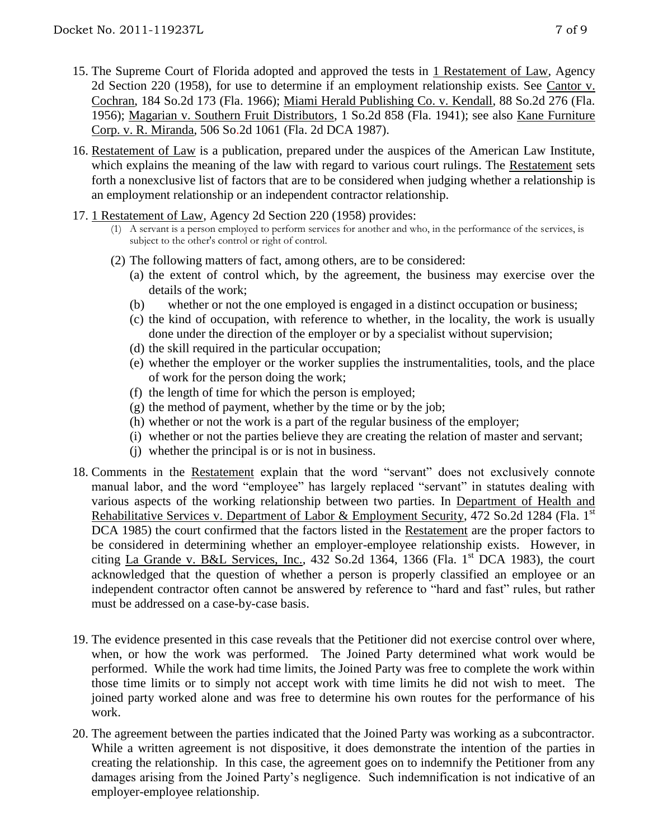- 15. The Supreme Court of Florida adopted and approved the tests in 1 Restatement of Law, Agency 2d Section 220 (1958), for use to determine if an employment relationship exists. See Cantor v. Cochran, 184 So.2d 173 (Fla. 1966); Miami Herald Publishing Co. v. Kendall, 88 So.2d 276 (Fla. 1956); Magarian v. Southern Fruit Distributors, 1 So.2d 858 (Fla. 1941); see also Kane Furniture Corp. v. R. Miranda, 506 So.2d 1061 (Fla. 2d DCA 1987).
- 16. Restatement of Law is a publication, prepared under the auspices of the American Law Institute, which explains the meaning of the law with regard to various court rulings. The Restatement sets forth a nonexclusive list of factors that are to be considered when judging whether a relationship is an employment relationship or an independent contractor relationship.
- 17. 1 Restatement of Law, Agency 2d Section 220 (1958) provides:
	- (1) A servant is a person employed to perform services for another and who, in the performance of the services, is subject to the other's control or right of control.
	- (2) The following matters of fact, among others, are to be considered:
		- (a) the extent of control which, by the agreement, the business may exercise over the details of the work;
		- (b) whether or not the one employed is engaged in a distinct occupation or business;
		- (c) the kind of occupation, with reference to whether, in the locality, the work is usually done under the direction of the employer or by a specialist without supervision;
		- (d) the skill required in the particular occupation;
		- (e) whether the employer or the worker supplies the instrumentalities, tools, and the place of work for the person doing the work;
		- (f) the length of time for which the person is employed;
		- $(g)$  the method of payment, whether by the time or by the job;
		- (h) whether or not the work is a part of the regular business of the employer;
		- (i) whether or not the parties believe they are creating the relation of master and servant;
		- (j) whether the principal is or is not in business.
- 18. Comments in the Restatement explain that the word "servant" does not exclusively connote manual labor, and the word "employee" has largely replaced "servant" in statutes dealing with various aspects of the working relationship between two parties. In Department of Health and Rehabilitative Services v. Department of Labor & Employment Security, 472 So.2d 1284 (Fla. 1<sup>st</sup>) DCA 1985) the court confirmed that the factors listed in the Restatement are the proper factors to be considered in determining whether an employer-employee relationship exists. However, in citing La Grande v. B&L Services, Inc., 432 So.2d 1364, 1366 (Fla. 1<sup>st</sup> DCA 1983), the court acknowledged that the question of whether a person is properly classified an employee or an independent contractor often cannot be answered by reference to "hard and fast" rules, but rather must be addressed on a case-by-case basis.
- 19. The evidence presented in this case reveals that the Petitioner did not exercise control over where, when, or how the work was performed. The Joined Party determined what work would be performed. While the work had time limits, the Joined Party was free to complete the work within those time limits or to simply not accept work with time limits he did not wish to meet. The joined party worked alone and was free to determine his own routes for the performance of his work.
- 20. The agreement between the parties indicated that the Joined Party was working as a subcontractor. While a written agreement is not dispositive, it does demonstrate the intention of the parties in creating the relationship. In this case, the agreement goes on to indemnify the Petitioner from any damages arising from the Joined Party's negligence. Such indemnification is not indicative of an employer-employee relationship.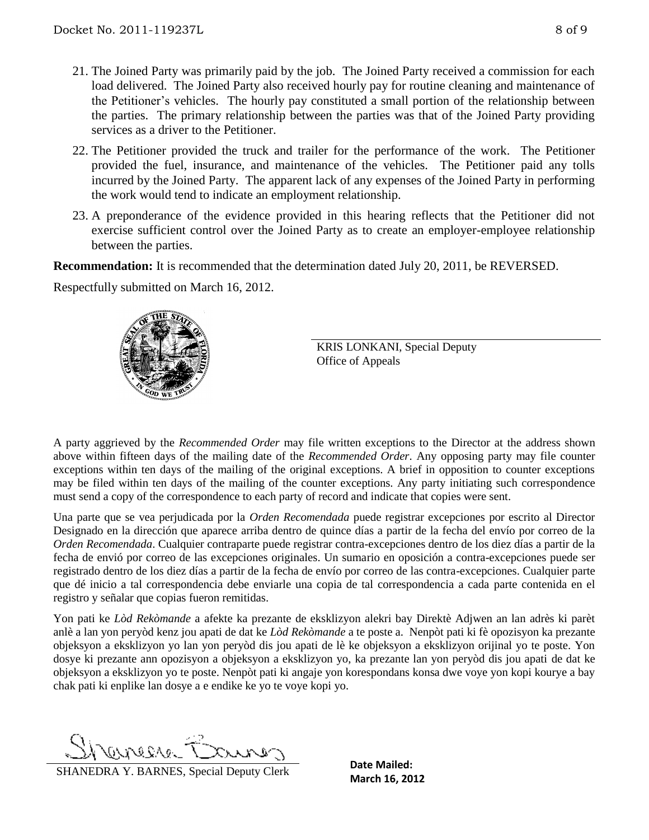- 21. The Joined Party was primarily paid by the job. The Joined Party received a commission for each load delivered. The Joined Party also received hourly pay for routine cleaning and maintenance of the Petitioner's vehicles. The hourly pay constituted a small portion of the relationship between the parties. The primary relationship between the parties was that of the Joined Party providing services as a driver to the Petitioner.
- 22. The Petitioner provided the truck and trailer for the performance of the work. The Petitioner provided the fuel, insurance, and maintenance of the vehicles. The Petitioner paid any tolls incurred by the Joined Party. The apparent lack of any expenses of the Joined Party in performing the work would tend to indicate an employment relationship.
- 23. A preponderance of the evidence provided in this hearing reflects that the Petitioner did not exercise sufficient control over the Joined Party as to create an employer-employee relationship between the parties.

**Recommendation:** It is recommended that the determination dated July 20, 2011, be REVERSED.

Respectfully submitted on March 16, 2012.



KRIS LONKANI, Special Deputy Office of Appeals

A party aggrieved by the *Recommended Order* may file written exceptions to the Director at the address shown above within fifteen days of the mailing date of the *Recommended Order*. Any opposing party may file counter exceptions within ten days of the mailing of the original exceptions. A brief in opposition to counter exceptions may be filed within ten days of the mailing of the counter exceptions. Any party initiating such correspondence must send a copy of the correspondence to each party of record and indicate that copies were sent.

Una parte que se vea perjudicada por la *Orden Recomendada* puede registrar excepciones por escrito al Director Designado en la dirección que aparece arriba dentro de quince días a partir de la fecha del envío por correo de la *Orden Recomendada*. Cualquier contraparte puede registrar contra-excepciones dentro de los diez días a partir de la fecha de envió por correo de las excepciones originales. Un sumario en oposición a contra-excepciones puede ser registrado dentro de los diez días a partir de la fecha de envío por correo de las contra-excepciones. Cualquier parte que dé inicio a tal correspondencia debe enviarle una copia de tal correspondencia a cada parte contenida en el registro y señalar que copias fueron remitidas.

Yon pati ke *Lòd Rekòmande* a afekte ka prezante de eksklizyon alekri bay Direktè Adjwen an lan adrès ki parèt anlè a lan yon peryòd kenz jou apati de dat ke *Lòd Rekòmande* a te poste a. Nenpòt pati ki fè opozisyon ka prezante objeksyon a eksklizyon yo lan yon peryòd dis jou apati de lè ke objeksyon a eksklizyon orijinal yo te poste. Yon dosye ki prezante ann opozisyon a objeksyon a eksklizyon yo, ka prezante lan yon peryòd dis jou apati de dat ke objeksyon a eksklizyon yo te poste. Nenpòt pati ki angaje yon korespondans konsa dwe voye yon kopi kourye a bay chak pati ki enplike lan dosye a e endike ke yo te voye kopi yo.

T-ereene

**SHANEDRA Y. BARNES, Special Deputy Clerk** Date Malled:<br>March 16, 2012

**Date Mailed:**